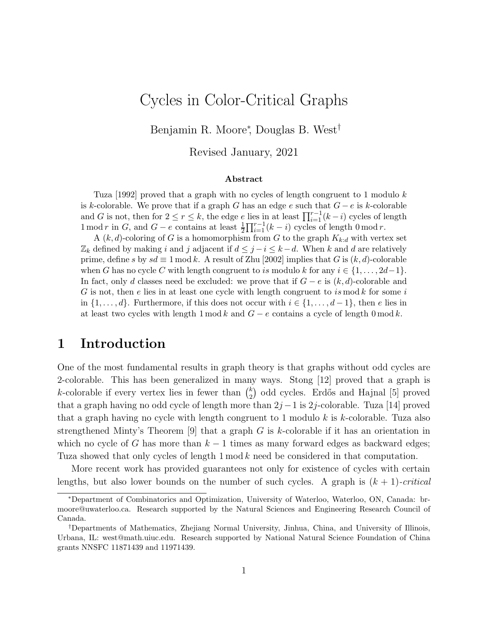# Cycles in Color-Critical Graphs

Benjamin R. Moore<sup>∗</sup> , Douglas B. West†

Revised January, 2021

#### Abstract

Tuza [1992] proved that a graph with no cycles of length congruent to 1 modulo k is k-colorable. We prove that if a graph G has an edge e such that  $G - e$  is k-colorable and G is not, then for  $2 \le r \le k$ , the edge e lies in at least  $\prod_{i=1}^{r-1}(k-i)$  cycles of length 1 mod r in G, and  $G - e$  contains at least  $\frac{1}{2} \prod_{i=1}^{r-1} (k-i)$  cycles of length 0 mod r.

A  $(k, d)$ -coloring of G is a homomorphism from G to the graph  $K_{k:d}$  with vertex set  $\mathbb{Z}_k$  defined by making i and j adjacent if  $d \leq j - i \leq k - d$ . When k and d are relatively prime, define s by  $sd \equiv 1 \mod k$ . A result of Zhu [2002] implies that G is  $(k, d)$ -colorable when G has no cycle C with length congruent to is modulo k for any  $i \in \{1, \ldots, 2d-1\}$ . In fact, only d classes need be excluded: we prove that if  $G - e$  is  $(k, d)$ -colorable and G is not, then e lies in at least one cycle with length congruent to is mod k for some i in  $\{1, \ldots, d\}$ . Furthermore, if this does not occur with  $i \in \{1, \ldots, d-1\}$ , then e lies in at least two cycles with length 1 mod k and  $G - e$  contains a cycle of length 0 mod k.

#### 1 Introduction

One of the most fundamental results in graph theory is that graphs without odd cycles are 2-colorable. This has been generalized in many ways. Stong [12] proved that a graph is k-colorable if every vertex lies in fewer than  $\binom{k}{2}$  $_{2}^{k}$ ) odd cycles. Erdős and Hajnal [5] proved that a graph having no odd cycle of length more than  $2j-1$  is 2j-colorable. Tuza [14] proved that a graph having no cycle with length congruent to 1 modulo  $k$  is  $k$ -colorable. Tuza also strengthened Minty's Theorem [9] that a graph G is k-colorable if it has an orientation in which no cycle of G has more than  $k-1$  times as many forward edges as backward edges; Tuza showed that only cycles of length 1 mod k need be considered in that computation.

More recent work has provided guarantees not only for existence of cycles with certain lengths, but also lower bounds on the number of such cycles. A graph is  $(k + 1)$ -critical

<sup>∗</sup>Department of Combinatorics and Optimization, University of Waterloo, Waterloo, ON, Canada: brmoore@uwaterloo.ca. Research supported by the Natural Sciences and Engineering Research Council of Canada.

<sup>†</sup>Departments of Mathematics, Zhejiang Normal University, Jinhua, China, and University of Illinois, Urbana, IL: west@math.uiuc.edu. Research supported by National Natural Science Foundation of China grants NNSFC 11871439 and 11971439.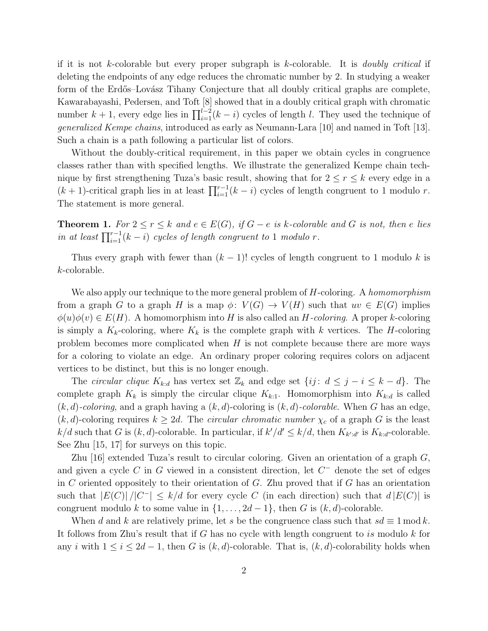if it is not k-colorable but every proper subgraph is k-colorable. It is *doubly critical* if deleting the endpoints of any edge reduces the chromatic number by 2. In studying a weaker form of the Erdős–Lovász Tihany Conjecture that all doubly critical graphs are complete, Kawarabayashi, Pedersen, and Toft [8] showed that in a doubly critical graph with chromatic number  $k + 1$ , every edge lies in  $\prod_{i=1}^{l-2} (k - i)$  cycles of length l. They used the technique of generalized Kempe chains, introduced as early as Neumann-Lara [10] and named in Toft [13]. Such a chain is a path following a particular list of colors.

Without the doubly-critical requirement, in this paper we obtain cycles in congruence classes rather than with specified lengths. We illustrate the generalized Kempe chain technique by first strengthening Tuza's basic result, showing that for  $2 \le r \le k$  every edge in a  $(k + 1)$ -critical graph lies in at least  $\prod_{i=1}^{r-1} (k - i)$  cycles of length congruent to 1 modulo r. The statement is more general.

**Theorem 1.** For  $2 \le r \le k$  and  $e \in E(G)$ , if  $G - e$  is k-colorable and G is not, then e lies in at least  $\prod_{i=1}^{r-1}(k-i)$  cycles of length congruent to 1 modulo r.

Thus every graph with fewer than  $(k - 1)!$  cycles of length congruent to 1 modulo k is k-colorable.

We also apply our technique to the more general problem of H-coloring. A homomorphism from a graph G to a graph H is a map  $\phi: V(G) \to V(H)$  such that  $uv \in E(G)$  implies  $\phi(u)\phi(v) \in E(H)$ . A homomorphism into H is also called an H-coloring. A proper k-coloring is simply a  $K_k$ -coloring, where  $K_k$  is the complete graph with k vertices. The H-coloring problem becomes more complicated when  $H$  is not complete because there are more ways for a coloring to violate an edge. An ordinary proper coloring requires colors on adjacent vertices to be distinct, but this is no longer enough.

The circular clique  $K_{k:d}$  has vertex set  $\mathbb{Z}_k$  and edge set  $\{ij: d \leq j - i \leq k - d\}$ . The complete graph  $K_k$  is simply the circular clique  $K_{k:1}$ . Homomorphism into  $K_{k:1}$  is called  $(k, d)$ -coloring, and a graph having a  $(k, d)$ -coloring is  $(k, d)$ -colorable. When G has an edge,  $(k, d)$ -coloring requires  $k \geq 2d$ . The *circular chromatic number*  $\chi_c$  of a graph G is the least  $k/d$  such that G is  $(k, d)$ -colorable. In particular, if  $k'/d' \leq k/d$ , then  $K_{k'd'}$  is  $K_{k:d}$ -colorable. See Zhu [15, 17] for surveys on this topic.

Zhu [16] extended Tuza's result to circular coloring. Given an orientation of a graph  $G$ , and given a cycle C in G viewed in a consistent direction, let  $C^-$  denote the set of edges in C oriented oppositely to their orientation of G. Zhu proved that if G has an orientation such that  $|E(C)|/|C^{-}| \leq k/d$  for every cycle C (in each direction) such that  $d |E(C)|$  is congruent modulo k to some value in  $\{1, \ldots, 2d-1\}$ , then G is  $(k, d)$ -colorable.

When d and k are relatively prime, let s be the congruence class such that  $sd \equiv 1 \mod k$ . It follows from Zhu's result that if  $G$  has no cycle with length congruent to is modulo  $k$  for any i with  $1 \leq i \leq 2d-1$ , then G is  $(k, d)$ -colorable. That is,  $(k, d)$ -colorability holds when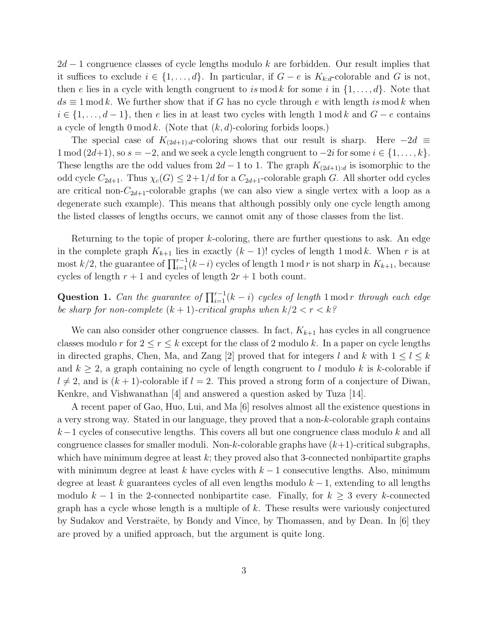$2d-1$  congruence classes of cycle lengths modulo k are forbidden. Our result implies that it suffices to exclude  $i \in \{1, ..., d\}$ . In particular, if  $G - e$  is  $K_{k:d}$ -colorable and G is not, then e lies in a cycle with length congruent to is mod k for some i in  $\{1, \ldots, d\}$ . Note that  $ds \equiv 1 \mod k$ . We further show that if G has no cycle through e with length is mod k when  $i \in \{1, \ldots, d-1\}$ , then e lies in at least two cycles with length 1 mod k and  $G - e$  contains a cycle of length  $0 \mod k$ . (Note that  $(k, d)$ -coloring forbids loops.)

The special case of  $K_{(2d+1):d}$ -coloring shows that our result is sharp. Here  $-2d \equiv$ 1 mod (2d+1), so  $s = -2$ , and we seek a cycle length congruent to  $-2i$  for some  $i \in \{1, ..., k\}$ . These lengths are the odd values from  $2d-1$  to 1. The graph  $K_{(2d+1):d}$  is isomorphic to the odd cycle  $C_{2d+1}$ . Thus  $\chi_c(G) \leq 2+1/d$  for a  $C_{2d+1}$ -colorable graph G. All shorter odd cycles are critical non- $C_{2d+1}$ -colorable graphs (we can also view a single vertex with a loop as a degenerate such example). This means that although possibly only one cycle length among the listed classes of lengths occurs, we cannot omit any of those classes from the list.

Returning to the topic of proper  $k$ -coloring, there are further questions to ask. An edge in the complete graph  $K_{k+1}$  lies in exactly  $(k-1)!$  cycles of length 1 mod k. When r is at most k/2, the guarantee of  $\prod_{i=1}^{r-1}(k-i)$  cycles of length 1 mod r is not sharp in  $K_{k+1}$ , because cycles of length  $r + 1$  and cycles of length  $2r + 1$  both count.

Question 1. Can the guarantee of  $\prod_{i=1}^{r-1}(k-i)$  cycles of length 1 mod r through each edge be sharp for non-complete  $(k + 1)$ -critical graphs when  $k/2 < r < k$ ?

We can also consider other congruence classes. In fact,  $K_{k+1}$  has cycles in all congruence classes modulo r for  $2 \le r \le k$  except for the class of 2 modulo k. In a paper on cycle lengths in directed graphs, Chen, Ma, and Zang [2] proved that for integers l and k with  $1 \leq l \leq k$ and  $k \geq 2$ , a graph containing no cycle of length congruent to l modulo k is k-colorable if  $l \neq 2$ , and is  $(k + 1)$ -colorable if  $l = 2$ . This proved a strong form of a conjecture of Diwan, Kenkre, and Vishwanathan [4] and answered a question asked by Tuza [14].

A recent paper of Gao, Huo, Lui, and Ma [6] resolves almost all the existence questions in a very strong way. Stated in our language, they proved that a non- $k$ -colorable graph contains  $k-1$  cycles of consecutive lengths. This covers all but one congruence class modulo k and all congruence classes for smaller moduli. Non-k-colorable graphs have  $(k+1)$ -critical subgraphs, which have minimum degree at least  $k$ ; they proved also that 3-connected nonbipartite graphs with minimum degree at least k have cycles with  $k-1$  consecutive lengths. Also, minimum degree at least k guarantees cycles of all even lengths modulo  $k-1$ , extending to all lengths modulo  $k-1$  in the 2-connected nonbipartite case. Finally, for  $k \geq 3$  every k-connected graph has a cycle whose length is a multiple of  $k$ . These results were variously conjectured by Sudakov and Verstraëte, by Bondy and Vince, by Thomassen, and by Dean. In [6] they are proved by a unified approach, but the argument is quite long.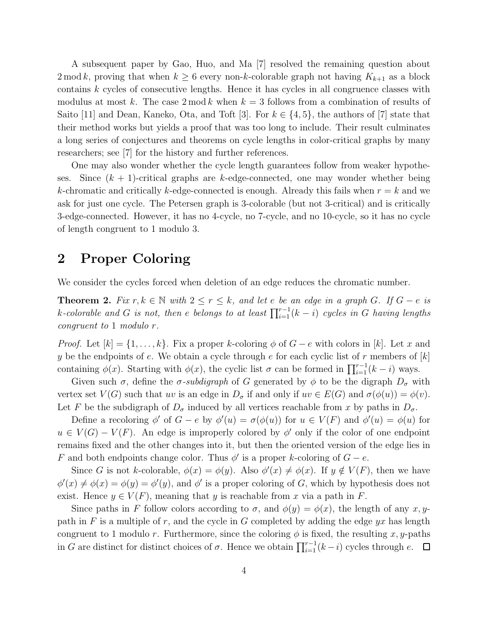A subsequent paper by Gao, Huo, and Ma [7] resolved the remaining question about 2 mod k, proving that when  $k \ge 6$  every non-k-colorable graph not having  $K_{k+1}$  as a block contains k cycles of consecutive lengths. Hence it has cycles in all congruence classes with modulus at most k. The case  $2 \mod k$  when  $k = 3$  follows from a combination of results of Saito [11] and Dean, Kaneko, Ota, and Toft [3]. For  $k \in \{4, 5\}$ , the authors of [7] state that their method works but yields a proof that was too long to include. Their result culminates a long series of conjectures and theorems on cycle lengths in color-critical graphs by many researchers; see [7] for the history and further references.

One may also wonder whether the cycle length guarantees follow from weaker hypotheses. Since  $(k + 1)$ -critical graphs are k-edge-connected, one may wonder whether being k-chromatic and critically k-edge-connected is enough. Already this fails when  $r = k$  and we ask for just one cycle. The Petersen graph is 3-colorable (but not 3-critical) and is critically 3-edge-connected. However, it has no 4-cycle, no 7-cycle, and no 10-cycle, so it has no cycle of length congruent to 1 modulo 3.

#### 2 Proper Coloring

We consider the cycles forced when deletion of an edge reduces the chromatic number.

**Theorem 2.** Fix  $r, k \in \mathbb{N}$  with  $2 \leq r \leq k$ , and let e be an edge in a graph G. If  $G - e$  is k-colorable and G is not, then e belongs to at least  $\prod_{i=1}^{r-1}(k-i)$  cycles in G having lengths congruent to 1 modulo r.

*Proof.* Let  $[k] = \{1, \ldots, k\}$ . Fix a proper k-coloring  $\phi$  of  $G - e$  with colors in [k]. Let x and y be the endpoints of e. We obtain a cycle through e for each cyclic list of r members of  $[k]$ containing  $\phi(x)$ . Starting with  $\phi(x)$ , the cyclic list  $\sigma$  can be formed in  $\prod_{i=1}^{r-1}(k-i)$  ways.

Given such  $\sigma$ , define the  $\sigma$ -subdigraph of G generated by  $\phi$  to be the digraph  $D_{\sigma}$  with vertex set  $V(G)$  such that uv is an edge in  $D_{\sigma}$  if and only if  $uv \in E(G)$  and  $\sigma(\phi(u)) = \phi(v)$ . Let F be the subdigraph of  $D_{\sigma}$  induced by all vertices reachable from x by paths in  $D_{\sigma}$ .

Define a recoloring  $\phi'$  of  $G - e$  by  $\phi'(u) = \sigma(\phi(u))$  for  $u \in V(F)$  and  $\phi'(u) = \phi(u)$  for  $u \in V(G) - V(F)$ . An edge is improperly colored by  $\phi'$  only if the color of one endpoint remains fixed and the other changes into it, but then the oriented version of the edge lies in F and both endpoints change color. Thus  $\phi'$  is a proper k-coloring of  $G - e$ .

Since G is not k-colorable,  $\phi(x) = \phi(y)$ . Also  $\phi'(x) \neq \phi(x)$ . If  $y \notin V(F)$ , then we have  $\phi'(x) \neq \phi(x) = \phi'(y) = \phi'(y)$ , and  $\phi'$  is a proper coloring of G, which by hypothesis does not exist. Hence  $y \in V(F)$ , meaning that y is reachable from x via a path in F.

Since paths in F follow colors according to  $\sigma$ , and  $\phi(y) = \phi(x)$ , the length of any x, ypath in F is a multiple of r, and the cycle in G completed by adding the edge  $yx$  has length congruent to 1 modulo r. Furthermore, since the coloring  $\phi$  is fixed, the resulting x, y-paths in G are distinct for distinct choices of  $\sigma$ . Hence we obtain  $\prod_{i=1}^{r-1}(k-i)$  cycles through e.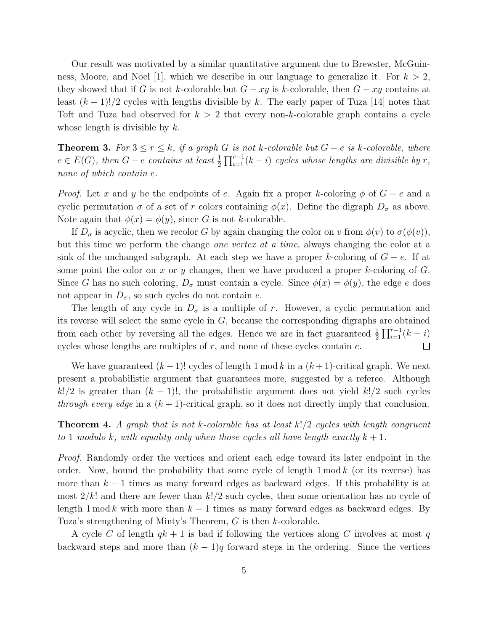Our result was motivated by a similar quantitative argument due to Brewster, McGuinness, Moore, and Noel [1], which we describe in our language to generalize it. For  $k > 2$ , they showed that if G is not k-colorable but  $G - xy$  is k-colorable, then  $G - xy$  contains at least  $(k-1)!/2$  cycles with lengths divisible by k. The early paper of Tuza [14] notes that Toft and Tuza had observed for  $k > 2$  that every non-k-colorable graph contains a cycle whose length is divisible by  $k$ .

**Theorem 3.** For  $3 \le r \le k$ , if a graph G is not k-colorable but  $G - e$  is k-colorable, where  $e \in E(G)$ , then  $G - e$  contains at least  $\frac{1}{2} \prod_{i=1}^{r-1} (k-i)$  cycles whose lengths are divisible by r, none of which contain e.

*Proof.* Let x and y be the endpoints of e. Again fix a proper k-coloring  $\phi$  of  $G - e$  and a cyclic permutation  $\sigma$  of a set of r colors containing  $\phi(x)$ . Define the digraph  $D_{\sigma}$  as above. Note again that  $\phi(x) = \phi(y)$ , since G is not k-colorable.

If  $D_{\sigma}$  is acyclic, then we recolor G by again changing the color on v from  $\phi(v)$  to  $\sigma(\phi(v))$ , but this time we perform the change one vertex at a time, always changing the color at a sink of the unchanged subgraph. At each step we have a proper k-coloring of  $G - e$ . If at some point the color on x or y changes, then we have produced a proper k-coloring of  $G$ . Since G has no such coloring,  $D_{\sigma}$  must contain a cycle. Since  $\phi(x) = \phi(y)$ , the edge e does not appear in  $D_{\sigma}$ , so such cycles do not contain e.

The length of any cycle in  $D_{\sigma}$  is a multiple of r. However, a cyclic permutation and its reverse will select the same cycle in  $G$ , because the corresponding digraphs are obtained from each other by reversing all the edges. Hence we are in fact guaranteed  $\frac{1}{2} \prod_{i=1}^{r-1} (k-i)$ cycles whose lengths are multiples of  $r$ , and none of these cycles contain  $e$ .  $\Box$ 

We have guaranteed  $(k-1)!$  cycles of length 1 mod k in a  $(k+1)$ -critical graph. We next present a probabilistic argument that guarantees more, suggested by a referee. Although k!/2 is greater than  $(k-1)!$ , the probabilistic argument does not yield k!/2 such cycles *through every edge* in a  $(k + 1)$ -critical graph, so it does not directly imply that conclusion.

**Theorem 4.** A graph that is not k-colorable has at least  $k!/2$  cycles with length congruent to 1 modulo k, with equality only when those cycles all have length exactly  $k + 1$ .

Proof. Randomly order the vertices and orient each edge toward its later endpoint in the order. Now, bound the probability that some cycle of length  $1 \mod k$  (or its reverse) has more than  $k-1$  times as many forward edges as backward edges. If this probability is at most  $2/k!$  and there are fewer than  $k!/2$  such cycles, then some orientation has no cycle of length 1 mod k with more than  $k-1$  times as many forward edges as backward edges. By Tuza's strengthening of Minty's Theorem, G is then k-colorable.

A cycle C of length  $qk + 1$  is bad if following the vertices along C involves at most q backward steps and more than  $(k-1)q$  forward steps in the ordering. Since the vertices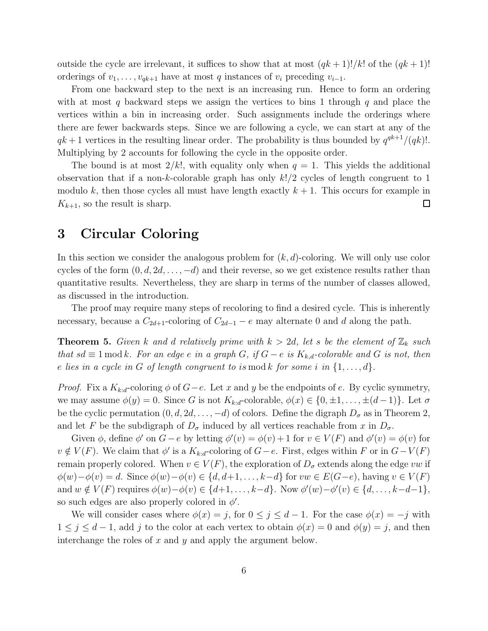outside the cycle are irrelevant, it suffices to show that at most  $(qk+1)!/k!$  of the  $(qk+1)!$ orderings of  $v_1, \ldots, v_{qk+1}$  have at most q instances of  $v_i$  preceding  $v_{i-1}$ .

From one backward step to the next is an increasing run. Hence to form an ordering with at most q backward steps we assign the vertices to bins 1 through q and place the vertices within a bin in increasing order. Such assignments include the orderings where there are fewer backwards steps. Since we are following a cycle, we can start at any of the  $qk+1$  vertices in the resulting linear order. The probability is thus bounded by  $q^{qk+1}/(qk)!$ . Multiplying by 2 accounts for following the cycle in the opposite order.

The bound is at most  $2/k!$ , with equality only when  $q = 1$ . This yields the additional observation that if a non-k-colorable graph has only  $k!/2$  cycles of length congruent to 1 modulo k, then those cycles all must have length exactly  $k + 1$ . This occurs for example in  $K_{k+1}$ , so the result is sharp.  $\Box$ 

## 3 Circular Coloring

In this section we consider the analogous problem for  $(k, d)$ -coloring. We will only use color cycles of the form  $(0, d, 2d, \ldots, -d)$  and their reverse, so we get existence results rather than quantitative results. Nevertheless, they are sharp in terms of the number of classes allowed, as discussed in the introduction.

The proof may require many steps of recoloring to find a desired cycle. This is inherently necessary, because a  $C_{2d+1}$ -coloring of  $C_{2d-1} - e$  may alternate 0 and d along the path.

**Theorem 5.** Given k and d relatively prime with  $k > 2d$ , let s be the element of  $\mathbb{Z}_k$  such that sd  $\equiv 1 \mod k$ . For an edge e in a graph G, if  $G - e$  is  $K_{k,d}$ -colorable and G is not, then e lies in a cycle in G of length congruent to is mod k for some i in  $\{1, \ldots, d\}$ .

*Proof.* Fix a  $K_{k:d}$ -coloring  $\phi$  of  $G-e$ . Let x and y be the endpoints of e. By cyclic symmetry, we may assume  $\phi(y) = 0$ . Since G is not  $K_{k:d}$ -colorable,  $\phi(x) \in \{0, \pm 1, \ldots, \pm (d-1)\}\.$  Let  $\sigma$ be the cyclic permutation  $(0, d, 2d, \ldots, -d)$  of colors. Define the digraph  $D_{\sigma}$  as in Theorem 2, and let F be the subdigraph of  $D_{\sigma}$  induced by all vertices reachable from x in  $D_{\sigma}$ .

Given  $\phi$ , define  $\phi'$  on  $G-e$  by letting  $\phi'(v) = \phi(v) + 1$  for  $v \in V(F)$  and  $\phi'(v) = \phi(v)$  for  $v \notin V(F)$ . We claim that  $\phi'$  is a  $K_{k:d}$ -coloring of  $G-e$ . First, edges within F or in  $G-V(F)$ remain properly colored. When  $v \in V(F)$ , the exploration of  $D_{\sigma}$  extends along the edge vw if  $\phi(w)-\phi(v)=d.$  Since  $\phi(w)-\phi(v)\in \{d,d+1,\ldots,k-d\}$  for  $vw\in E(G-e)$ , having  $v\in V(F)$ and  $w \notin V(F)$  requires  $\phi(w) - \phi(v) \in \{d+1, \ldots, k-d\}$ . Now  $\phi'(w) - \phi'(v) \in \{d, \ldots, k-d-1\}$ , so such edges are also properly colored in  $\phi'$ .

We will consider cases where  $\phi(x) = j$ , for  $0 \le j \le d - 1$ . For the case  $\phi(x) = -j$  with  $1 \leq j \leq d-1$ , add j to the color at each vertex to obtain  $\phi(x) = 0$  and  $\phi(y) = j$ , and then interchange the roles of x and y and apply the argument below.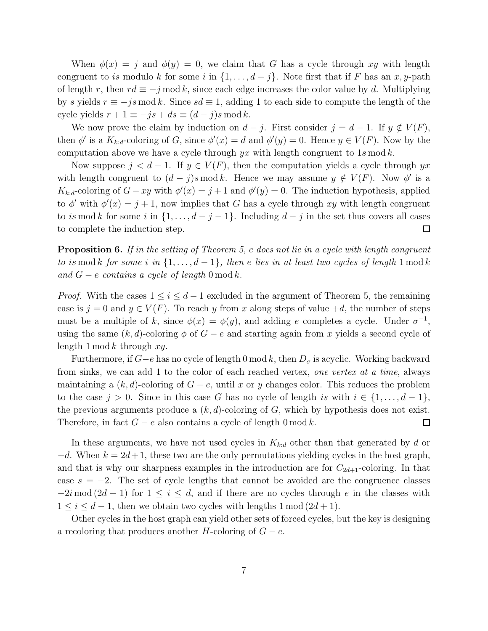When  $\phi(x) = j$  and  $\phi(y) = 0$ , we claim that G has a cycle through xy with length congruent to is modulo k for some i in  $\{1, \ldots, d-j\}$ . Note first that if F has an x, y-path of length r, then  $rd \equiv -j \mod k$ , since each edge increases the color value by d. Multiplying by s yields  $r \equiv -js \mod k$ . Since  $sd \equiv 1$ , adding 1 to each side to compute the length of the cycle yields  $r + 1 \equiv -js + ds \equiv (d - j)s \mod k$ .

We now prove the claim by induction on  $d - j$ . First consider  $j = d - 1$ . If  $y \notin V(F)$ , then  $\phi'$  is a  $K_{k:d}$ -coloring of G, since  $\phi'(x) = d$  and  $\phi'(y) = 0$ . Hence  $y \in V(F)$ . Now by the computation above we have a cycle through  $yx$  with length congruent to 1s mod k.

Now suppose  $j < d-1$ . If  $y \in V(F)$ , then the computation yields a cycle through  $yx$ with length congruent to  $(d - j)$ s mod k. Hence we may assume  $y \notin V(F)$ . Now  $\phi'$  is a  $K_{k:d}$ -coloring of  $G - xy$  with  $\phi'(x) = j + 1$  and  $\phi'(y) = 0$ . The induction hypothesis, applied to  $\phi'$  with  $\phi'(x) = j + 1$ , now implies that G has a cycle through xy with length congruent to is mod k for some i in  $\{1, \ldots, d-j-1\}$ . Including  $d-j$  in the set thus covers all cases to complete the induction step.  $\Box$ 

**Proposition 6.** If in the setting of Theorem 5, e does not lie in a cycle with length congruent to is mod k for some i in  $\{1,\ldots,d-1\}$ , then e lies in at least two cycles of length 1 mod k and  $G - e$  contains a cycle of length 0 mod k.

*Proof.* With the cases  $1 \leq i \leq d-1$  excluded in the argument of Theorem 5, the remaining case is  $j = 0$  and  $y \in V(F)$ . To reach y from x along steps of value  $+d$ , the number of steps must be a multiple of k, since  $\phi(x) = \phi(y)$ , and adding e completes a cycle. Under  $\sigma^{-1}$ , using the same  $(k, d)$ -coloring  $\phi$  of  $G - e$  and starting again from x yields a second cycle of length  $1 \mod k$  through  $xy$ .

Furthermore, if  $G-e$  has no cycle of length 0 mod k, then  $D_{\sigma}$  is acyclic. Working backward from sinks, we can add 1 to the color of each reached vertex, one vertex at a time, always maintaining a  $(k, d)$ -coloring of  $G - e$ , until x or y changes color. This reduces the problem to the case  $j > 0$ . Since in this case G has no cycle of length is with  $i \in \{1, \ldots, d-1\}$ , the previous arguments produce a  $(k, d)$ -coloring of G, which by hypothesis does not exist. Therefore, in fact  $G - e$  also contains a cycle of length 0 mod k.  $\Box$ 

In these arguments, we have not used cycles in  $K_{k:d}$  other than that generated by d or  $-d.$  When  $k = 2d+1$ , these two are the only permutations yielding cycles in the host graph, and that is why our sharpness examples in the introduction are for  $C_{2d+1}$ -coloring. In that case  $s = -2$ . The set of cycle lengths that cannot be avoided are the congruence classes  $-2i \mod (2d+1)$  for  $1 \leq i \leq d$ , and if there are no cycles through e in the classes with  $1 \leq i \leq d-1$ , then we obtain two cycles with lengths  $1 \mod (2d+1)$ .

Other cycles in the host graph can yield other sets of forced cycles, but the key is designing a recoloring that produces another H-coloring of  $G - e$ .